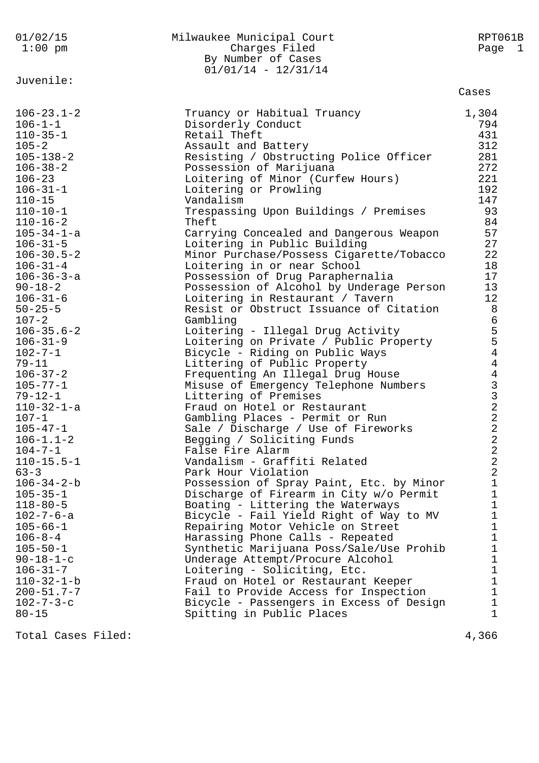| 01/02/15<br>$1:00$ pm                                                                                                                                                                                                                                                                                                                                                                                                                                                                                                                                                                                                                                                                                                                                                                                                               | Milwaukee Municipal Court<br>Charges Filed<br>By Number of Cases<br>$01/01/14 - 12/31/14$                                                                                                                                                                                                                                                                                                                                                                                                                                                                                                                                                                                                                                                                                                                                                                                                                                                                                                                                                                                                                                                                                                                                                                                                                                                                                                                                                                                                                                                               | RPT061B<br>Page 1                                                                                                                                                                                                                                                                                                                                                                                                                                                     |
|-------------------------------------------------------------------------------------------------------------------------------------------------------------------------------------------------------------------------------------------------------------------------------------------------------------------------------------------------------------------------------------------------------------------------------------------------------------------------------------------------------------------------------------------------------------------------------------------------------------------------------------------------------------------------------------------------------------------------------------------------------------------------------------------------------------------------------------|---------------------------------------------------------------------------------------------------------------------------------------------------------------------------------------------------------------------------------------------------------------------------------------------------------------------------------------------------------------------------------------------------------------------------------------------------------------------------------------------------------------------------------------------------------------------------------------------------------------------------------------------------------------------------------------------------------------------------------------------------------------------------------------------------------------------------------------------------------------------------------------------------------------------------------------------------------------------------------------------------------------------------------------------------------------------------------------------------------------------------------------------------------------------------------------------------------------------------------------------------------------------------------------------------------------------------------------------------------------------------------------------------------------------------------------------------------------------------------------------------------------------------------------------------------|-----------------------------------------------------------------------------------------------------------------------------------------------------------------------------------------------------------------------------------------------------------------------------------------------------------------------------------------------------------------------------------------------------------------------------------------------------------------------|
| Juvenile:                                                                                                                                                                                                                                                                                                                                                                                                                                                                                                                                                                                                                                                                                                                                                                                                                           |                                                                                                                                                                                                                                                                                                                                                                                                                                                                                                                                                                                                                                                                                                                                                                                                                                                                                                                                                                                                                                                                                                                                                                                                                                                                                                                                                                                                                                                                                                                                                         | Cases                                                                                                                                                                                                                                                                                                                                                                                                                                                                 |
| $106 - 23.1 - 2$<br>$106 - 1 - 1$<br>$110 - 35 - 1$<br>$105 - 2$<br>$105 - 138 - 2$<br>$106 - 38 - 2$<br>$106 - 23$<br>$106 - 31 - 1$<br>$110 - 15$<br>$110 - 10 - 1$<br>$110 - 16 - 2$<br>$105 - 34 - 1 - a$<br>$106 - 31 - 5$<br>$106 - 30.5 - 2$<br>$106 - 31 - 4$<br>$106 - 36 - 3 - a$<br>$90 - 18 - 2$<br>$106 - 31 - 6$<br>$50 - 25 - 5$<br>$107 - 2$<br>$106 - 35.6 - 2$<br>$106 - 31 - 9$<br>$102 - 7 - 1$<br>$79 - 11$<br>$106 - 37 - 2$<br>$105 - 77 - 1$<br>$79 - 12 - 1$<br>$110 - 32 - 1 - a$<br>$107 - 1$<br>$105 - 47 - 1$<br>$106 - 1.1 - 2$<br>$104 - 7 - 1$<br>$110 - 15.5 - 1$<br>$63 - 3$<br>$106 - 34 - 2 - b$<br>$105 - 35 - 1$<br>$118 - 80 - 5$<br>$102 - 7 - 6 - a$<br>$105 - 66 - 1$<br>$106 - 8 - 4$<br>$105 - 50 - 1$<br>$90 - 18 - 1 - c$<br>$106 - 31 - 7$<br>$110 - 32 - 1 - b$<br>$200 - 51.7 - 7$ | Truancy or Habitual Truancy<br>Disorderly Conduct<br>Retail Theft<br>Assault and Battery<br>Resisting / Obstructing Police Officer<br>Possession of Marijuana<br>Loitering of Minor (Curfew Hours)<br>Loitering or Prowling<br>Vandalism<br>Trespassing Upon Buildings / Premises<br>Theft<br>Carrying Concealed and Dangerous Weapon<br>Loitering in Public Building<br>Minor Purchase/Possess Cigarette/Tobacco<br>Loitering in or near School<br>Possession of Drug Paraphernalia<br>Possession of Alcohol by Underage Person<br>Loitering in Restaurant / Tavern<br>Resist or Obstruct Issuance of Citation<br>Gambling<br>Loitering - Illegal Drug Activity<br>Loitering on Private / Public Property<br>Bicycle - Riding on Public Ways<br>Littering of Public Property<br>Frequenting An Illegal Drug House<br>Misuse of Emergency Telephone Numbers<br>Littering of Premises<br>Fraud on Hotel or Restaurant<br>Gambling Places - Permit or Run<br>Sale / Discharge / Use of Fireworks<br>Begging / Soliciting Funds<br>False Fire Alarm<br>Vandalism - Graffiti Related<br>Park Hour Violation<br>Possession of Spray Paint, Etc. by Minor<br>Discharge of Firearm in City w/o Permit<br>Boating - Littering the Waterways<br>Bicycle - Fail Yield Right of Way to MV<br>Repairing Motor Vehicle on Street<br>Harassing Phone Calls - Repeated<br>Synthetic Marijuana Poss/Sale/Use Prohib<br>Underage Attempt/Procure Alcohol<br>Loitering - Soliciting, Etc.<br>Fraud on Hotel or Restaurant Keeper<br>Fail to Provide Access for Inspection | 1,304<br>794<br>431<br>312<br>281<br>272<br>221<br>192<br>147<br>93<br>84<br>57<br>27<br>22<br>18<br>17<br>13<br>12<br>8<br>6<br>5<br>5<br>4<br>$\overline{4}$<br>$\begin{array}{c}\n43 \\ 32 \\ 2\n\end{array}$<br>$\overline{2}$<br>2<br>$\overline{a}$<br>$\overline{a}$<br>$\overline{2}$<br>$\mathbf 1$<br>$\mathbf 1$<br>$\mathbf{1}$<br>$\mathbf 1$<br>$\mathbf 1$<br>$\mathbf 1$<br>$\mathbf 1$<br>$\mathbf 1$<br>$\mathbf 1$<br>$\mathbf{1}$<br>$\mathbf{1}$ |
| $102 - 7 - 3 - c$<br>$80 - 15$                                                                                                                                                                                                                                                                                                                                                                                                                                                                                                                                                                                                                                                                                                                                                                                                      | Bicycle - Passengers in Excess of Design<br>Spitting in Public Places                                                                                                                                                                                                                                                                                                                                                                                                                                                                                                                                                                                                                                                                                                                                                                                                                                                                                                                                                                                                                                                                                                                                                                                                                                                                                                                                                                                                                                                                                   | $\mathbf 1$<br>1                                                                                                                                                                                                                                                                                                                                                                                                                                                      |
| Total Cases Filed:                                                                                                                                                                                                                                                                                                                                                                                                                                                                                                                                                                                                                                                                                                                                                                                                                  |                                                                                                                                                                                                                                                                                                                                                                                                                                                                                                                                                                                                                                                                                                                                                                                                                                                                                                                                                                                                                                                                                                                                                                                                                                                                                                                                                                                                                                                                                                                                                         | 4,366                                                                                                                                                                                                                                                                                                                                                                                                                                                                 |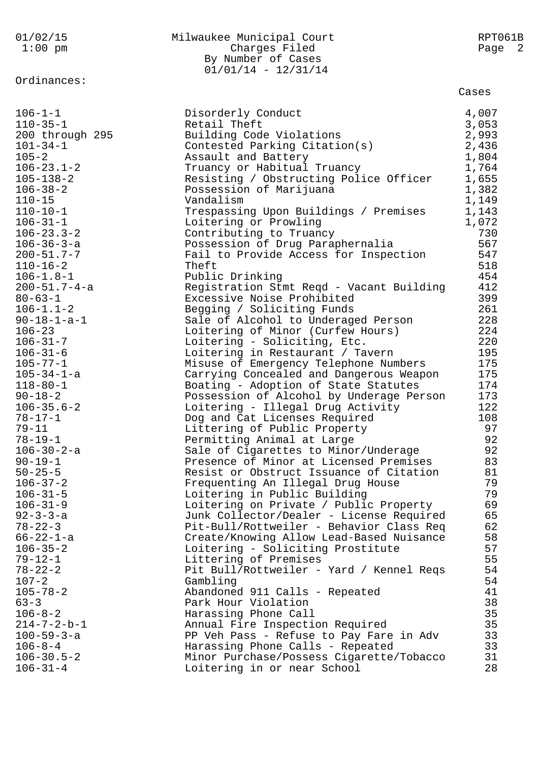| 01/02/15<br>$1:00$ pm | Milwaukee Municipal Court<br>Charges Filed<br>By Number of Cases<br>$01/01/14 - 12/31/14$ | RPT061B<br>Page<br>- 2 |
|-----------------------|-------------------------------------------------------------------------------------------|------------------------|
| Ordinances:           |                                                                                           | Cases                  |
| $106 - 1 - 1$         | Disorderly Conduct                                                                        | 4,007                  |
| $110 - 35 - 1$        | Retail Theft                                                                              | 3,053                  |
| 200 through 295       | Building Code Violations                                                                  | 2,993                  |
| $101 - 34 - 1$        | Contested Parking Citation(s)                                                             | 2,436                  |
| $105 - 2$             | Assault and Battery                                                                       | 1,804                  |
| $106 - 23.1 - 2$      | Truancy or Habitual Truancy                                                               | 1,764                  |
| $105 - 138 - 2$       | Resisting / Obstructing Police Officer                                                    | 1,655                  |
| $106 - 38 - 2$        | Possession of Marijuana                                                                   | 1,382                  |
| $110 - 15$            | Vandalism                                                                                 | 1,149                  |
| $110 - 10 - 1$        | Trespassing Upon Buildings / Premises                                                     | 1,143                  |
| $106 - 31 - 1$        | Loitering or Prowling                                                                     | 1,072                  |
| $106 - 23.3 - 2$      | Contributing to Truancy                                                                   | 730                    |
| $106 - 36 - 3 - a$    | Possession of Drug Paraphernalia                                                          | 567                    |
| $200 - 51.7 - 7$      | Fail to Provide Access for Inspection                                                     | 547                    |
| $110 - 16 - 2$        | Theft                                                                                     | 518                    |
| $106 - 1.8 - 1$       | Public Drinking                                                                           | 454                    |
| $200 - 51.7 - 4 - a$  | Registration Stmt Reqd - Vacant Building                                                  | 412                    |
| $80 - 63 - 1$         | Excessive Noise Prohibited                                                                | 399                    |
| $106 - 1.1 - 2$       | Begging / Soliciting Funds                                                                | 261                    |
| $90 - 18 - 1 - a - 1$ | Sale of Alcohol to Underaged Person                                                       | 228                    |
| $106 - 23$            | Loitering of Minor (Curfew Hours)                                                         | 224                    |
| $106 - 31 - 7$        | Loitering - Soliciting, Etc.                                                              | 220                    |
| $106 - 31 - 6$        | Loitering in Restaurant / Tavern                                                          | 195                    |
| $105 - 77 - 1$        | Misuse of Emergency Telephone Numbers                                                     | 175                    |
| $105 - 34 - 1 - a$    | Carrying Concealed and Dangerous Weapon                                                   | 175                    |
| $118 - 80 - 1$        | Boating - Adoption of State Statutes                                                      | 174                    |
| $90 - 18 - 2$         | Possession of Alcohol by Underage Person                                                  | 173                    |
| $106 - 35.6 - 2$      | Loitering - Illegal Drug Activity                                                         | 122                    |
| $78 - 17 - 1$         | Dog and Cat Licenses Required                                                             | 108                    |
| $79 - 11$             | Littering of Public Property                                                              | 97                     |
| $78 - 19 - 1$         | Permitting Animal at Large                                                                | 92                     |
| $106 - 30 - 2 - a$    | Sale of Cigarettes to Minor/Underage                                                      | 92                     |
| $90 - 19 - 1$         | Presence of Minor at Licensed Premises                                                    | 83                     |
| $50 - 25 - 5$         | Resist or Obstruct Issuance of Citation                                                   | 81                     |
| $106 - 37 - 2$        | Frequenting An Illegal Drug House                                                         | 79                     |
| $106 - 31 - 5$        | Loitering in Public Building                                                              | 79                     |
| $106 - 31 - 9$        | Loitering on Private / Public Property                                                    | 69                     |
| $92 - 3 - 3 - a$      | Junk Collector/Dealer - License Required                                                  | 65                     |
| $78 - 22 - 3$         | Pit-Bull/Rottweiler - Behavior Class Req                                                  | 62                     |
| $66 - 22 - 1 - a$     | Create/Knowing Allow Lead-Based Nuisance                                                  | 58                     |
| $106 - 35 - 2$        | Loitering - Soliciting Prostitute                                                         | 57                     |
| $79 - 12 - 1$         | Littering of Premises                                                                     | 55                     |
| $78 - 22 - 2$         | Pit Bull/Rottweiler - Yard / Kennel Reqs                                                  | 54                     |
| $107 - 2$             | Gambling                                                                                  | 54                     |
| $105 - 78 - 2$        | Abandoned 911 Calls - Repeated                                                            | 41                     |
| $63 - 3$              | Park Hour Violation                                                                       | 38                     |
| $106 - 8 - 2$         | Harassing Phone Call                                                                      | 35                     |
| $214 - 7 - 2 - b - 1$ | Annual Fire Inspection Required                                                           | 35                     |
| $100 - 59 - 3 - a$    | PP Veh Pass - Refuse to Pay Fare in Adv                                                   | 33                     |
| $106 - 8 - 4$         | Harassing Phone Calls - Repeated                                                          | 33                     |
| $106 - 30.5 - 2$      | Minor Purchase/Possess Cigarette/Tobacco                                                  | 31                     |
| $106 - 31 - 4$        | Loitering in or near School                                                               | 28                     |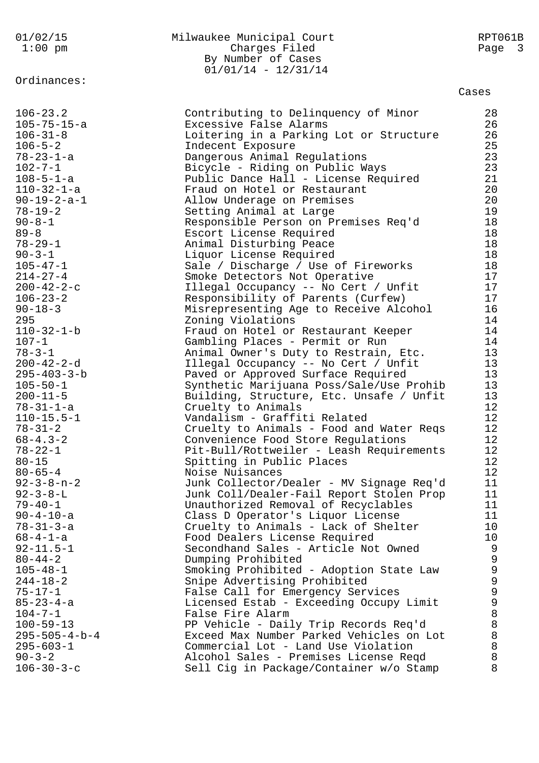Ordinances:

# 01/02/15 Milwaukee Municipal Court RPT061B Charges Filed By Number of Cases 01/01/14 - 12/31/14

| $106 - 23.2$            | Contributing to Delinquency of Minor     | 28              |
|-------------------------|------------------------------------------|-----------------|
| $105 - 75 - 15 - a$     | Excessive False Alarms                   | 26              |
| $106 - 31 - 8$          | Loitering in a Parking Lot or Structure  | 26              |
| $106 - 5 - 2$           | Indecent Exposure                        | 25              |
| $78 - 23 - 1 - a$       | Dangerous Animal Regulations             | 23              |
| $102 - 7 - 1$           | Bicycle - Riding on Public Ways          | 23              |
| $108 - 5 - 1 - a$       | Public Dance Hall - License Required     | 21              |
| $110 - 32 - 1 - a$      | Fraud on Hotel or Restaurant             | 20 <sub>o</sub> |
| $90 - 19 - 2 - a - 1$   | Allow Underage on Premises               | $20\,$          |
| $78 - 19 - 2$           | Setting Animal at Large                  | 19              |
| $90 - 8 - 1$            | Responsible Person on Premises Req'd     | 18              |
| $89 - 8$                | Escort License Required                  | 18              |
| $78 - 29 - 1$           | Animal Disturbing Peace                  | 18              |
| $90 - 3 - 1$            | Liquor License Required                  | 18              |
| $105 - 47 - 1$          | Sale / Discharge / Use of Fireworks      | 18              |
| $214 - 27 - 4$          | Smoke Detectors Not Operative            | 17              |
| $200 - 42 - 2 - c$      | Illegal Occupancy -- No Cert / Unfit     | 17              |
| $106 - 23 - 2$          | Responsibility of Parents (Curfew)       | 17              |
| $90 - 18 - 3$           | Misrepresenting Age to Receive Alcohol   | 16              |
| 295                     | Zoning Violations                        | 14              |
| $110 - 32 - 1 - b$      | Fraud on Hotel or Restaurant Keeper      | 14              |
| $107 - 1$               | Gambling Places - Permit or Run          | 14              |
| $78 - 3 - 1$            | Animal Owner's Duty to Restrain, Etc.    | 13              |
| $200 - 42 - 2 - d$      | Illegal Occupancy -- No Cert / Unfit     | 13              |
| $295 - 403 - 3 - b$     | Paved or Approved Surface Required       | 13              |
| $105 - 50 - 1$          | Synthetic Marijuana Poss/Sale/Use Prohib | 13              |
| $200 - 11 - 5$          | Building, Structure, Etc. Unsafe / Unfit | 13              |
| $78 - 31 - 1 - a$       | Cruelty to Animals                       | 12              |
| $110 - 15.5 - 1$        | Vandalism - Graffiti Related             | 12              |
| $78 - 31 - 2$           | Cruelty to Animals - Food and Water Reqs | 12              |
| $68 - 4.3 - 2$          | Convenience Food Store Regulations       | 12              |
| $78 - 22 - 1$           | Pit-Bull/Rottweiler - Leash Requirements | 12              |
| $80 - 15$               | Spitting in Public Places                | 12              |
| $80 - 65 - 4$           | Noise Nuisances                          | 12              |
| $92 - 3 - 8 - n - 2$    | Junk Collector/Dealer - MV Signage Req'd | 11              |
| $92 - 3 - 8 - L$        | Junk Coll/Dealer-Fail Report Stolen Prop | 11              |
| $79 - 40 - 1$           | Unauthorized Removal of Recyclables      | 11              |
| $90 - 4 - 10 - a$       | Class D Operator's Liquor License        | 11              |
| $78 - 31 - 3 - a$       | Cruelty to Animals - Lack of Shelter     | 10 <sub>o</sub> |
| $68 - 4 - 1 - a$        | Food Dealers License Required            | 10 <sub>o</sub> |
| $92 - 11.5 - 1$         | Secondhand Sales - Article Not Owned     | 9               |
| $80 - 44 - 2$           | Dumping Prohibited                       | 9               |
| $105 - 48 - 1$          | Smoking Prohibited - Adoption State Law  |                 |
| $244 - 18 - 2$          | Snipe Advertising Prohibited             |                 |
| $75 - 17 - 1$           | False Call for Emergency Services        |                 |
| $85 - 23 - 4 - a$       | Licensed Estab - Exceeding Occupy Limit  | 99998           |
| $104 - 7 - 1$           | False Fire Alarm                         |                 |
| $100 - 59 - 13$         | PP Vehicle - Daily Trip Records Req'd    | $\,8\,$         |
| $295 - 505 - 4 - b - 4$ | Exceed Max Number Parked Vehicles on Lot | $\,8\,$         |
| $295 - 603 - 1$         | Commercial Lot - Land Use Violation      | $\,8\,$         |
| $90 - 3 - 2$            | Alcohol Sales - Premises License Reqd    | $\,8\,$         |
| $106 - 30 - 3 - c$      | Sell Cig in Package/Container w/o Stamp  | 8               |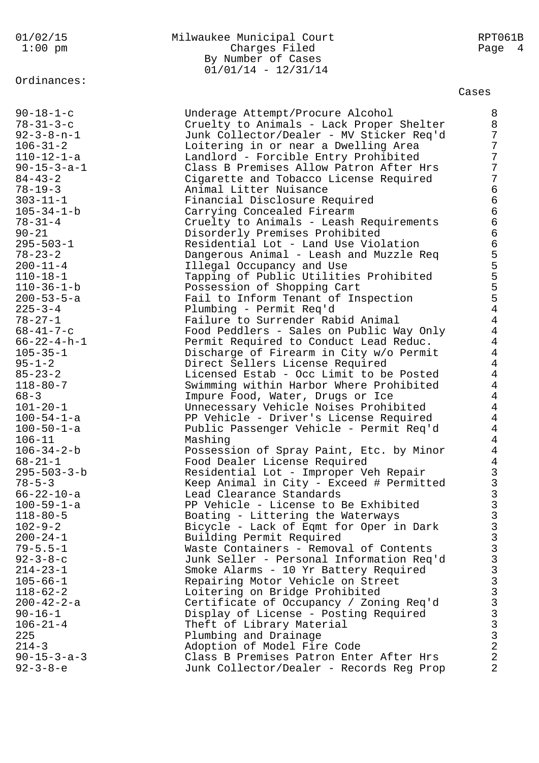# Ordinances:

## 01/02/15 Milwaukee Municipal Court RPT061B Charges Filed Page 4 By Number of Cases  $01/01/14 - 12/31/14$

| $90 - 18 - 1 - c$                  | Underage Attempt/Procure Alcohol                                           | 8              |
|------------------------------------|----------------------------------------------------------------------------|----------------|
| $78 - 31 - 3 - c$                  | Cruelty to Animals - Lack Proper Shelter                                   | 8              |
| $92 - 3 - 8 - n - 1$               | Junk Collector/Dealer - MV Sticker Req'd                                   | 7              |
| $106 - 31 - 2$                     | Loitering in or near a Dwelling Area                                       | 7              |
| $110 - 12 - 1 - a$                 | Landlord - Forcible Entry Prohibited                                       | 7              |
| $90 - 15 - 3 - a - 1$              | Class B Premises Allow Patron After Hrs                                    | 7              |
| $84 - 43 - 2$                      | Cigarette and Tobacco License Required                                     | 7              |
| $78 - 19 - 3$                      | Animal Litter Nuisance                                                     | 6              |
| $303 - 11 - 1$                     | Financial Disclosure Required                                              | 6              |
| $105 - 34 - 1 - b$                 | Carrying Concealed Firearm                                                 | 6              |
| $78 - 31 - 4$                      | Cruelty to Animals - Leash Requirements                                    | 6              |
| $90 - 21$                          | Disorderly Premises Prohibited                                             | 6              |
| $295 - 503 - 1$                    | Residential Lot - Land Use Violation                                       | 6              |
| $78 - 23 - 2$                      | Dangerous Animal - Leash and Muzzle Req                                    | 5              |
| $200 - 11 - 4$                     | Illegal Occupancy and Use                                                  | 5              |
| $110 - 18 - 1$                     | Tapping of Public Utilities Prohibited                                     | 5              |
| $110 - 36 - 1 - b$                 | Possession of Shopping Cart                                                |                |
| $200 - 53 - 5 - a$                 | Fail to Inform Tenant of Inspection                                        | $\frac{5}{5}$  |
| $225 - 3 - 4$                      | Plumbing - Permit Req'd                                                    | $\overline{4}$ |
| $78 - 27 - 1$                      | Failure to Surrender Rabid Animal                                          | $\overline{4}$ |
| $68 - 41 - 7 - c$                  | Food Peddlers - Sales on Public Way Only                                   | $\overline{4}$ |
| $66 - 22 - 4 - h - 1$              | Permit Required to Conduct Lead Reduc.                                     | $\overline{4}$ |
| $105 - 35 - 1$                     | Discharge of Firearm in City w/o Permit                                    | $\overline{4}$ |
| $95 - 1 - 2$                       | Direct Sellers License Required                                            | $\overline{4}$ |
| $85 - 23 - 2$                      | Licensed Estab - Occ Limit to be Posted                                    | $\overline{4}$ |
| $118 - 80 - 7$                     | Swimming within Harbor Where Prohibited                                    | $\overline{4}$ |
| $68 - 3$                           | Impure Food, Water, Drugs or Ice                                           | $\overline{4}$ |
| $101 - 20 - 1$                     | Unnecessary Vehicle Noises Prohibited                                      | $\overline{4}$ |
| $100 - 54 - 1 - a$                 | PP Vehicle - Driver's License Required                                     | $\overline{4}$ |
| $100 - 50 - 1 - a$                 | Public Passenger Vehicle - Permit Req'd                                    | $\overline{4}$ |
| $106 - 11$                         | Mashing                                                                    | $\overline{4}$ |
| $106 - 34 - 2 - b$                 | Possession of Spray Paint, Etc. by Minor                                   | $\overline{4}$ |
| $68 - 21 - 1$                      | Food Dealer License Required                                               | $\overline{4}$ |
| $295 - 503 - 3 - b$                | Residential Lot - Improper Veh Repair                                      | $\frac{3}{3}$  |
| $78 - 5 - 3$                       | Keep Animal in City - Exceed # Permitted                                   |                |
| $66 - 22 - 10 - a$                 | Lead Clearance Standards                                                   | 3              |
| $100 - 59 - 1 - a$                 | PP Vehicle - License to Be Exhibited                                       | ゝ              |
| $118 - 80 - 5$                     | Boating - Littering the Waterways                                          | 3              |
| $102 - 9 - 2$                      | Bicycle - Lack of Eqmt for Oper in Dark                                    | 3              |
| $200 - 24 - 1$                     | Building Permit Required                                                   | 3              |
| $79 - 5.5 - 1$<br>$92 - 3 - 8 - c$ | Waste Containers - Removal of Contents                                     | 3              |
| $214 - 23 - 1$                     | Junk Seller - Personal Information Req'd                                   | 3<br>3         |
| $105 - 66 - 1$                     | Smoke Alarms - 10 Yr Battery Required<br>Repairing Motor Vehicle on Street | 3              |
| $118 - 62 - 2$                     | Loitering on Bridge Prohibited                                             | 3              |
| $200 - 42 - 2 - a$                 | Certificate of Occupancy / Zoning Req'd                                    | 3              |
| $90 - 16 - 1$                      | Display of License - Posting Required                                      | 3              |
| $106 - 21 - 4$                     | Theft of Library Material                                                  | 3              |
| 225                                | Plumbing and Drainage                                                      | 3              |
| $214 - 3$                          | Adoption of Model Fire Code                                                | $\overline{a}$ |
| $90 - 15 - 3 - a - 3$              | Class B Premises Patron Enter After Hrs                                    | $\overline{a}$ |
| $92 - 3 - 8 - e$                   | Junk Collector/Dealer - Records Reg Prop                                   | 2              |
|                                    |                                                                            |                |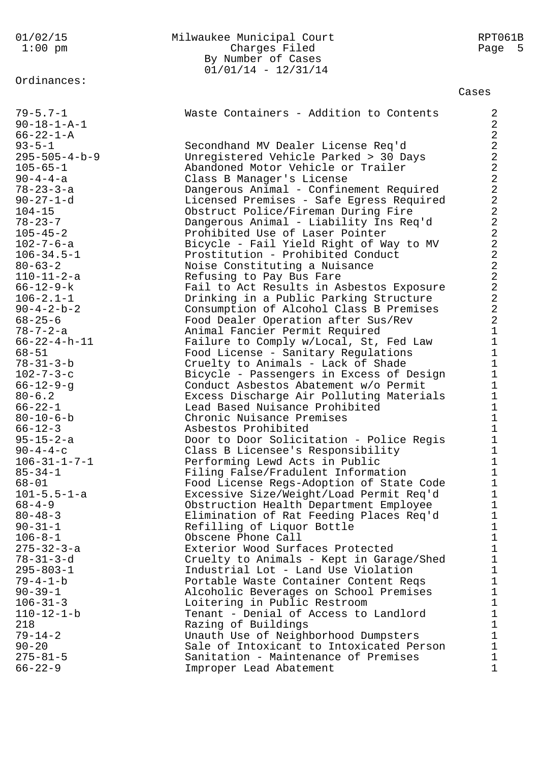01/02/15 Milwaukee Municipal Court RPT061B 1:00 pm Charges Filed Page 5 By Number of Cases 01/01/14 - 12/31/14 Ordinances: Cases 79-5.7-1 Waste Containers - Addition to Contents 2 90-18-1-A-1 2  $66-22-1-A$  2 93-5-1 Secondhand MV Dealer License Req'd 2 295-505-4-b-9 Unregistered Vehicle Parked > 30 Days 2 105-65-1 Abandoned Motor Vehicle or Trailer 2 90-4-4-a Class B Manager's License 2 78-23-3-a Dangerous Animal - Confinement Required 2 90-27-1-d Licensed Premises - Safe Egress Required 2 104-15 Obstruct Police/Fireman During Fire 2 78-23-7 Dangerous Animal - Liability Ins Req'd 2 105-45-2 Prohibited Use of Laser Pointer 2 102-7-6-a Bicycle - Fail Yield Right of Way to MV 2 106-34.5-1 Prostitution - Prohibited Conduct 2 80-63-2 Noise Constituting a Nuisance 2 110-11-2-a Refusing to Pay Bus Fare 2 66-12-9-k Fail to Act Results in Asbestos Exposure 2 106-2.1-1 Drinking in a Public Parking Structure 2 90-4-2-b-2 Consumption of Alcohol Class B Premises 2 68-25-6 Food Dealer Operation after Sus/Rev 2 78-7-2-a Animal Fancier Permit Required 1 66-22-4-h-11 Failure to Comply w/Local, St, Fed Law 1 68-51 Food License - Sanitary Regulations 1 78-31-3-b Cruelty to Animals - Lack of Shade 1 102-7-3-c Bicycle - Passengers in Excess of Design 1 66-12-9-g Conduct Asbestos Abatement w/o Permit 1 80-6.2 Excess Discharge Air Polluting Materials 1 66-22-1 Lead Based Nuisance Prohibited 1 80-10-6-b Chronic Nuisance Premises 1 66-12-3 Asbestos Prohibited 1 95-15-2-a Door to Door Solicitation - Police Regis 1 90-4-4-c Class B Licensee's Responsibility 1 106-31-1-7-1 Performing Lewd Acts in Public 1 85-34-1 Filing False/Fradulent Information 1 68-01 Food License Regs-Adoption of State Code 1 101-5.5-1-a Excessive Size/Weight/Load Permit Req'd 1 68-4-9 Obstruction Health Department Employee 1 80-48-3 Elimination of Rat Feeding Places Req'd 1 90-31-1 Refilling of Liquor Bottle 1 106-8-1 Obscene Phone Call 1 275-32-3-a Exterior Wood Surfaces Protected 1 78-31-3-d Cruelty to Animals - Kept in Garage/Shed 1 295-803-1 Industrial Lot - Land Use Violation 1 79-4-1-b Portable Waste Container Content Reqs 1 90-39-1 Alcoholic Beverages on School Premises 1 106-31-3 Loitering in Public Restroom 1 110-12-1-b Tenant - Denial of Access to Landlord 1 218 Razing of Buildings 1 79-14-2 Unauth Use of Neighborhood Dumpsters 1 90-20 Sale of Intoxicant to Intoxicated Person 1 275-81-5 Sanitation - Maintenance of Premises 1 66-22-9 Improper Lead Abatement 1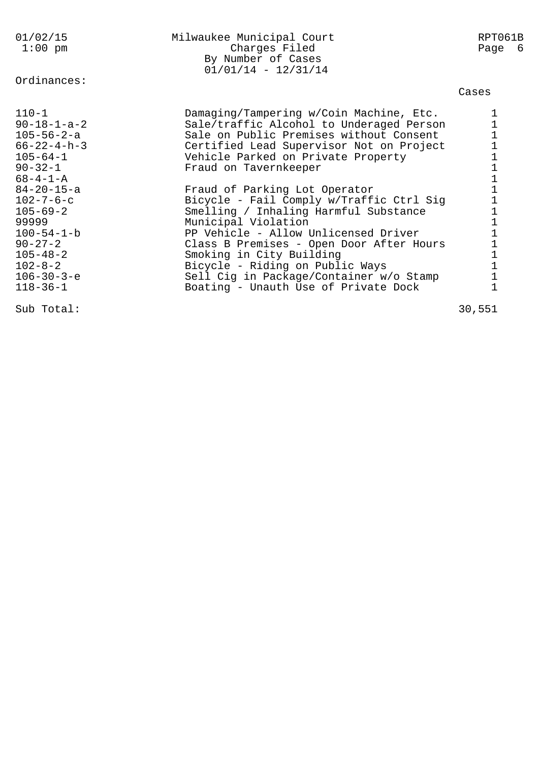| 01/02/15              | Milwaukee Municipal Court                                    | RPT061B                                    |  |
|-----------------------|--------------------------------------------------------------|--------------------------------------------|--|
| $1:00$ pm             | Charges Filed<br>By Number of Cases<br>$01/01/14 - 12/31/14$ | Page 6                                     |  |
| Ordinances:           |                                                              |                                            |  |
|                       |                                                              | Cases                                      |  |
| $110 - 1$             | Damaging/Tampering w/Coin Machine, Etc.                      | 1                                          |  |
| $90 - 18 - 1 - a - 2$ | Sale/traffic Alcohol to Underaged Person                     | $\mathbf 1$                                |  |
| $105 - 56 - 2 - a$    | Sale on Public Premises without Consent                      | $\mathbf 1$                                |  |
| $66 - 22 - 4 - h - 3$ | Certified Lead Supervisor Not on Project                     | $\frac{1}{1}$                              |  |
| $105 - 64 - 1$        | Vehicle Parked on Private Property                           |                                            |  |
| $90 - 32 - 1$         | Fraud on Tavernkeeper                                        | $\begin{array}{c} 1 \\ 1 \\ 1 \end{array}$ |  |
| $68 - 4 - 1 - A$      |                                                              |                                            |  |
| $84 - 20 - 15 - a$    | Fraud of Parking Lot Operator                                |                                            |  |
| $102 - 7 - 6 - c$     | Bicycle - Fail Comply w/Traffic Ctrl Sig                     | $\mathbf 1$                                |  |
| $105 - 69 - 2$        | Smelling / Inhaling Harmful Substance                        | $\mathbf 1$                                |  |
| 99999                 | Municipal Violation                                          | $\frac{1}{1}$                              |  |
| $100 - 54 - 1 - b$    | PP Vehicle - Allow Unlicensed Driver                         |                                            |  |
| $90 - 27 - 2$         | Class B Premises - Open Door After Hours                     | $\mathbf 1$                                |  |
| $105 - 48 - 2$        | Smoking in City Building                                     | $\mathbf{1}$<br>$\overline{1}$             |  |
| $102 - 8 - 2$         | Bicycle - Riding on Public Ways                              |                                            |  |
| $106 - 30 - 3 - e$    | Sell Cig in Package/Container w/o Stamp                      | $\mathbf 1$<br>$\mathbf 1$                 |  |
| $118 - 36 - 1$        | Boating - Unauth Use of Private Dock                         |                                            |  |
| Sub Total:            |                                                              | 30,551                                     |  |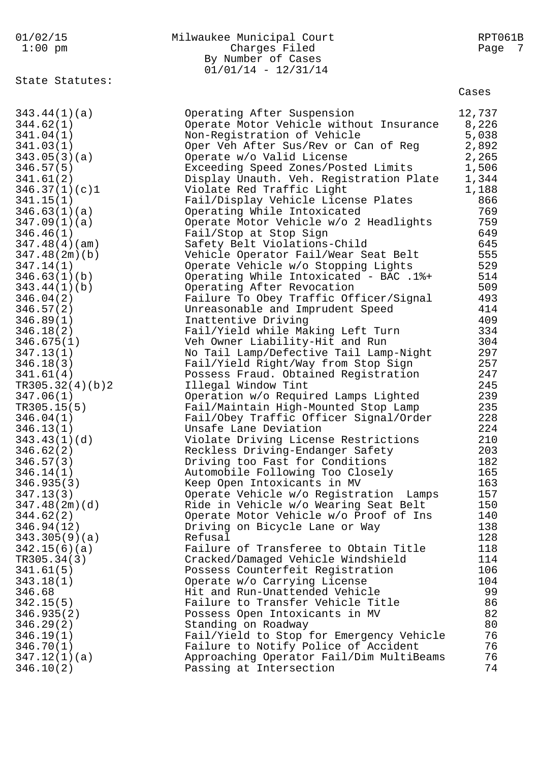# 01/02/15 Milwaukee Municipal Court RPT061B 1:00 pm Charges Filed Page 7 By Number of Cases 01/01/14 - 12/31/14

State Statutes:

| 343.44(1)(a)    | Operating After Suspension               | 12,737 |
|-----------------|------------------------------------------|--------|
| 344.62(1)       | Operate Motor Vehicle without Insurance  | 8,226  |
| 341.04(1)       | Non-Registration of Vehicle              | 5,038  |
| 341.03(1)       | Oper Veh After Sus/Rev or Can of Reg     | 2,892  |
| 343.05(3)(a)    | Operate w/o Valid License                | 2,265  |
| 346.57(5)       | Exceeding Speed Zones/Posted Limits      | 1,506  |
| 341.61(2)       | Display Unauth. Veh. Registration Plate  | 1,344  |
| 346.37(1)(c)1   | Violate Red Traffic Light                | 1,188  |
| 341.15(1)       | Fail/Display Vehicle License Plates      | 866    |
| 346.63(1)(a)    | Operating While Intoxicated              | 769    |
|                 |                                          |        |
| 347.09(1)(a)    | Operate Motor Vehicle w/o 2 Headlights   | 759    |
| 346.46(1)       | Fail/Stop at Stop Sign                   | 649    |
| 347.48(4)(am)   | Safety Belt Violations-Child             | 645    |
| 347.48(2m)(b)   | Vehicle Operator Fail/Wear Seat Belt     | 555    |
| 347.14(1)       | Operate Vehicle w/o Stopping Lights      | 529    |
| 346.63(1)(b)    | Operating While Intoxicated - BAC .1%+   | 514    |
| 343.44(1)(b)    | Operating After Revocation               | 509    |
| 346.04(2)       | Failure To Obey Traffic Officer/Signal   | 493    |
| 346.57(2)       | Unreasonable and Imprudent Speed         | 414    |
| 346.89(1)       | Inattentive Driving                      | 409    |
| 346.18(2)       | Fail/Yield while Making Left Turn        | 334    |
| 346.675(1)      | Veh Owner Liability-Hit and Run          | 304    |
| 347.13(1)       | No Tail Lamp/Defective Tail Lamp-Night   | 297    |
| 346.18(3)       | Fail/Yield Right/Way from Stop Sign      | 257    |
| 341.61(4)       | Possess Fraud. Obtained Registration     | 247    |
| TR305.32(4)(b)2 | Illegal Window Tint                      | 245    |
| 347.06(1)       | Operation w/o Required Lamps Lighted     | 239    |
| TR305.15(5)     | Fail/Maintain High-Mounted Stop Lamp     | 235    |
| 346.04(1)       | Fail/Obey Traffic Officer Signal/Order   | 228    |
| 346.13(1)       | Unsafe Lane Deviation                    | 224    |
|                 |                                          | 210    |
| 343.43(1)(d)    | Violate Driving License Restrictions     |        |
| 346.62(2)       | Reckless Driving-Endanger Safety         | 203    |
| 346.57(3)       | Driving too Fast for Conditions          | 182    |
| 346.14(1)       | Automobile Following Too Closely         | 165    |
| 346.935(3)      | Keep Open Intoxicants in MV              | 163    |
| 347.13(3)       | Operate Vehicle w/o Registration Lamps   | 157    |
| 347.48(2m)(d)   | Ride in Vehicle w/o Wearing Seat Belt    | 150    |
| 344.62(2)       | Operate Motor Vehicle w/o Proof of Ins   | 140    |
| 346.94(12)      | Driving on Bicycle Lane or Way           | 138    |
| 343.305(9)(a)   | Refusal                                  | 128    |
| 342.15(6)(a)    | Failure of Transferee to Obtain Title    | 118    |
| TR305.34(3)     | Cracked/Damaged Vehicle Windshield       | 114    |
| 341.61(5)       | Possess Counterfeit Registration         | 106    |
| 343.18(1)       | Operate w/o Carrying License             | 104    |
| 346.68          | Hit and Run-Unattended Vehicle           | 99     |
| 342.15(5)       | Failure to Transfer Vehicle Title        | 86     |
| 346.935(2)      | Possess Open Intoxicants in MV           | 82     |
| 346.29(2)       | Standing on Roadway                      | 80     |
| 346.19(1)       | Fail/Yield to Stop for Emergency Vehicle | 76     |
| 346.70(1)       | Failure to Notify Police of Accident     | 76     |
| 347.12(1)(a)    | Approaching Operator Fail/Dim MultiBeams | 76     |
| 346.10(2)       | Passing at Intersection                  | 74     |
|                 |                                          |        |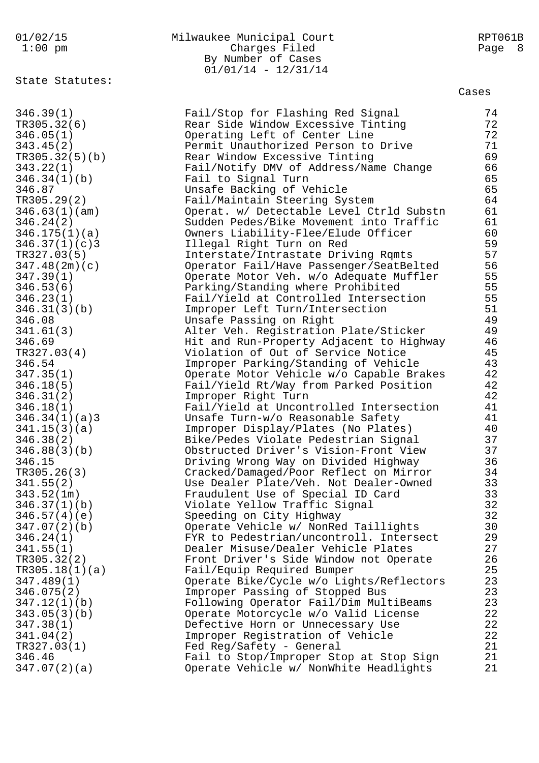# 01/02/15 Milwaukee Municipal Court RPT061B 1:00 pm Charges Filed Page 8 By Number of Cases 01/01/14 - 12/31/14

State Statutes:

| 346.39(1)      | Fail/Stop for Flashing Red Signal        | 74 |
|----------------|------------------------------------------|----|
| TR305.32(6)    | Rear Side Window Excessive Tinting       | 72 |
| 346.05(1)      | Operating Left of Center Line            | 72 |
| 343.45(2)      | Permit Unauthorized Person to Drive      | 71 |
| TR305.32(5)(b) | Rear Window Excessive Tinting            | 69 |
| 343.22(1)      | Fail/Notify DMV of Address/Name Change   | 66 |
| 346.34(1)(b)   | Fail to Signal Turn                      | 65 |
| 346.87         | Unsafe Backing of Vehicle                | 65 |
| TR305.29(2)    | Fail/Maintain Steering System            | 64 |
| 346.63(1)(am)  | Operat. w/ Detectable Level Ctrld Substn | 61 |
| 346.24(2)      | Sudden Pedes/Bike Movement into Traffic  | 61 |
| 346.175(1)(a)  |                                          | 60 |
|                | Owners Liability-Flee/Elude Officer      | 59 |
| 346.37(1)(c)3  | Illegal Right Turn on Red                | 57 |
| TR327.03(5)    | Interstate/Intrastate Driving Rqmts      |    |
| 347.48(2m)(c)  | Operator Fail/Have Passenger/SeatBelted  | 56 |
| 347.39(1)      | Operate Motor Veh. w/o Adequate Muffler  | 55 |
| 346.53(6)      | Parking/Standing where Prohibited        | 55 |
| 346.23(1)      | Fail/Yield at Controlled Intersection    | 55 |
| 346.31(3)(b)   | Improper Left Turn/Intersection          | 51 |
| 346.08         | Unsafe Passing on Right                  | 49 |
| 341.61(3)      | Alter Veh. Registration Plate/Sticker    | 49 |
| 346.69         | Hit and Run-Property Adjacent to Highway | 46 |
| TR327.03(4)    | Violation of Out of Service Notice       | 45 |
| 346.54         | Improper Parking/Standing of Vehicle     | 43 |
| 347.35(1)      | Operate Motor Vehicle w/o Capable Brakes | 42 |
| 346.18(5)      | Fail/Yield Rt/Way from Parked Position   | 42 |
| 346.31(2)      | Improper Right Turn                      | 42 |
| 346.18(1)      | Fail/Yield at Uncontrolled Intersection  | 41 |
| 346.34(1)(a)3  | Unsafe Turn-w/o Reasonable Safety        | 41 |
| 341.15(3)(a)   | Improper Display/Plates (No Plates)      | 40 |
| 346.38(2)      | Bike/Pedes Violate Pedestrian Signal     | 37 |
| 346.88(3)(b)   | Obstructed Driver's Vision-Front View    | 37 |
| 346.15         | Driving Wrong Way on Divided Highway     | 36 |
| TR305.26(3)    | Cracked/Damaged/Poor Reflect on Mirror   | 34 |
| 341.55(2)      | Use Dealer Plate/Veh. Not Dealer-Owned   | 33 |
| 343.52(1m)     | Fraudulent Use of Special ID Card        | 33 |
| 346.37(1)(b)   | Violate Yellow Traffic Signal            | 32 |
| 346.57(4)(e)   | Speeding on City Highway                 | 32 |
| 347.07(2)(b)   | Operate Vehicle w/ NonRed Taillights     | 30 |
| 346.24(1)      | FYR to Pedestrian/uncontroll. Intersect  | 29 |
| 341.55(1)      | Dealer Misuse/Dealer Vehicle Plates      | 27 |
| TR305.32(2)    | Front Driver's Side Window not Operate   | 26 |
| TR305.18(1)(a) | Fail/Equip Required Bumper               | 25 |
| 347.489(1)     | Operate Bike/Cycle w/o Lights/Reflectors | 23 |
|                |                                          | 23 |
| 346.075(2)     | Improper Passing of Stopped Bus          |    |
| 347.12(1)(b)   | Following Operator Fail/Dim MultiBeams   | 23 |
| 343.05(3)(b)   | Operate Motorcycle w/o Valid License     | 22 |
| 347.38(1)      | Defective Horn or Unnecessary Use        | 22 |
| 341.04(2)      | Improper Registration of Vehicle         | 22 |
| TR327.03(1)    | Fed Reg/Safety - General                 | 21 |
| 346.46         | Fail to Stop/Improper Stop at Stop Sign  | 21 |
| 347.07(2)(a)   | Operate Vehicle w/ NonWhite Headlights   | 21 |
|                |                                          |    |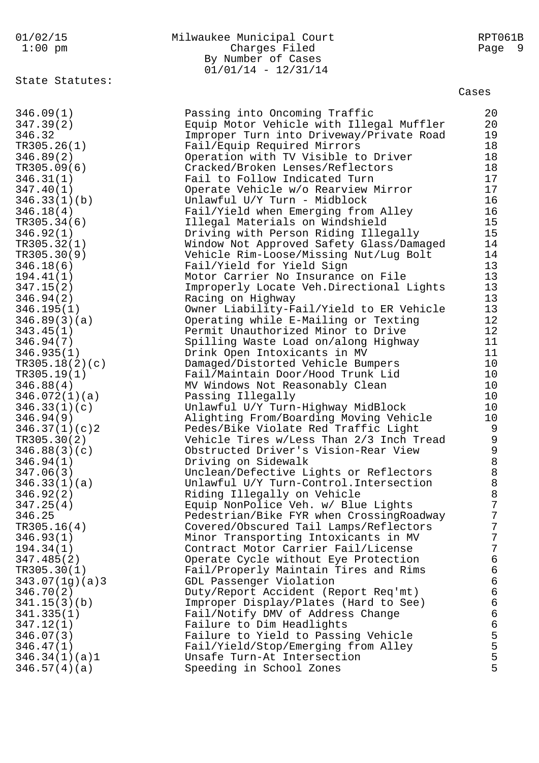# 01/02/15 Milwaukee Municipal Court RPT061B Charges Filed By Number of Cases  $01/01/14 - 12/31/14$

State Statutes:

| 346.09(1)      | Passing into Oncoming Traffic            | 20              |
|----------------|------------------------------------------|-----------------|
| 347.39(2)      | Equip Motor Vehicle with Illegal Muffler | 20              |
| 346.32         | Improper Turn into Driveway/Private Road | 19              |
| TR305.26(1)    | Fail/Equip Required Mirrors              | 18              |
| 346.89(2)      | Operation with TV Visible to Driver      | 18              |
| TR305.09(6)    | Cracked/Broken Lenses/Reflectors         | 18              |
| 346.31(1)      | Fail to Follow Indicated Turn            | 17              |
| 347.40(1)      | Operate Vehicle w/o Rearview Mirror      | 17              |
| 346.33(1)(b)   | Unlawful U/Y Turn - Midblock             | 16              |
| 346.18(4)      | Fail/Yield when Emerging from Alley      | 16              |
| TR305.34(6)    | Illegal Materials on Windshield          | 15              |
| 346.92(1)      | Driving with Person Riding Illegally     | 15              |
| TR305.32(1)    | Window Not Approved Safety Glass/Damaged | 14              |
| TR305.30(9)    | Vehicle Rim-Loose/Missing Nut/Lug Bolt   | 14              |
| 346.18(6)      | Fail/Yield for Yield Sign                | 13              |
| 194.41(1)      | Motor Carrier No Insurance on File       | 13              |
| 347.15(2)      | Improperly Locate Veh.Directional Lights | 13              |
|                |                                          | 13              |
| 346.94(2)      | Racing on Highway                        | 13              |
| 346.195(1)     | Owner Liability-Fail/Yield to ER Vehicle |                 |
| 346.89(3)(a)   | Operating while E-Mailing or Texting     | 12              |
| 343.45(1)      | Permit Unauthorized Minor to Drive       | 12              |
| 346.94(7)      | Spilling Waste Load on/along Highway     | 11              |
| 346.935(1)     | Drink Open Intoxicants in MV             | 11              |
| TR305.18(2)(c) | Damaged/Distorted Vehicle Bumpers        | 10              |
| TR305.19(1)    | Fail/Maintain Door/Hood Trunk Lid        | 10              |
| 346.88(4)      | MV Windows Not Reasonably Clean          | 10              |
| 346.072(1)(a)  | Passing Illegally                        | 10              |
| 346.33(1)(c)   | Unlawful U/Y Turn-Highway MidBlock       | 10              |
| 346.94(9)      | Alighting From/Boarding Moving Vehicle   | 10              |
| 346.37(1)(c)2  | Pedes/Bike Violate Red Traffic Light     |                 |
| TR305.30(2)    | Vehicle Tires w/Less Than 2/3 Inch Tread | 9988888         |
| 346.88(3)(c)   | Obstructed Driver's Vision-Rear View     |                 |
| 346.94(1)      | Driving on Sidewalk                      |                 |
| 347.06(3)      | Unclean/Defective Lights or Reflectors   |                 |
| 346.33(1)(a)   | Unlawful U/Y Turn-Control. Intersection  |                 |
| 346.92(2)      | Riding Illegally on Vehicle              |                 |
| 347.25(4)      | Equip NonPolice Veh. w/ Blue Lights      | $7\overline{ }$ |
| 346.25         | Pedestrian/Bike FYR when CrossingRoadway | 7               |
| TR305.16(4)    | Covered/Obscured Tail Lamps/Reflectors   | $\overline{7}$  |
| 346.93(1)      | Minor Transporting Intoxicants in MV     | $\overline{7}$  |
| 194.34(1)      | Contract Motor Carrier Fail/License      | $\overline{7}$  |
| 347.485(2)     | Operate Cycle without Eye Protection     | $\epsilon$      |
| TR305.30(1)    | Fail/Properly Maintain Tires and Rims    |                 |
| 343.07(1g)(a)3 | GDL Passenger Violation                  |                 |
| 346.70(2)      | Duty/Report Accident (Report Req'mt)     |                 |
|                |                                          |                 |
| 341.15(3)(b)   | Improper Display/Plates (Hard to See)    |                 |
| 341.335(1)     | Fail/Notify DMV of Address Change        | 66666555        |
| 347.12(1)      | Failure to Dim Headlights                |                 |
| 346.07(3)      | Failure to Yield to Passing Vehicle      |                 |
| 346.47(1)      | Fail/Yield/Stop/Emerging from Alley      |                 |
| 346.34(1)(a)1  | Unsafe Turn-At Intersection              |                 |
| 346.57(4)(a)   | Speeding in School Zones                 | 5               |
|                |                                          |                 |
|                |                                          |                 |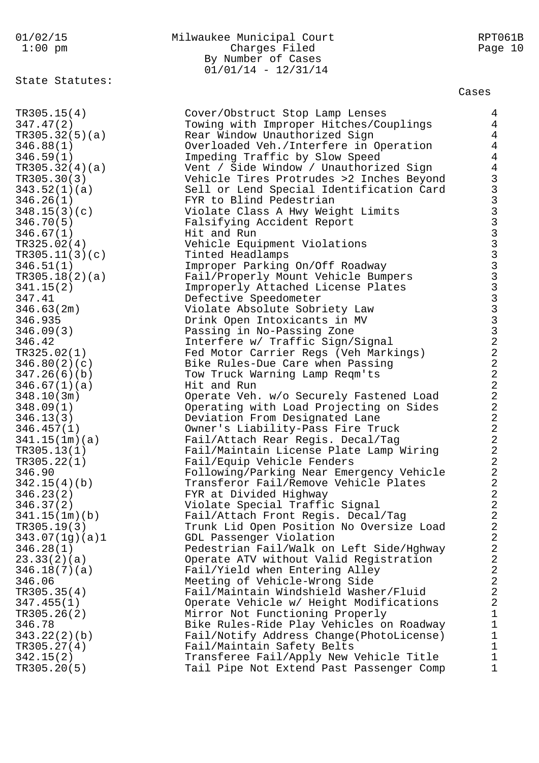# 01/02/15 Milwaukee Municipal Court RPT061B 1:00 pm Charges Filed Page 10 By Number of Cases 01/01/14 - 12/31/14

State Statutes:

| TR305.15(4)                  | Cover/Obstruct Stop Lamp Lenses                                     | $\overline{4}$                               |
|------------------------------|---------------------------------------------------------------------|----------------------------------------------|
| 347.47(2)                    | Towing with Improper Hitches/Couplings                              | $\overline{4}$                               |
| TR305.32(5)(a)               | Rear Window Unauthorized Sign                                       | $\overline{4}$                               |
| 346.88(1)                    | Overloaded Veh./Interfere in Operation                              | $\overline{4}$                               |
| 346.59(1)                    | Impeding Traffic by Slow Speed                                      | $\overline{4}$                               |
| TR305.32(4)(a)               | Vent / Side Window / Unauthorized Sign                              | $\overline{4}$                               |
| TR305.30(3)                  | Vehicle Tires Protrudes >2 Inches Beyond                            |                                              |
| 343.52(1)(a)                 | Sell or Lend Special Identification Card                            |                                              |
| 346.26(1)                    | FYR to Blind Pedestrian                                             |                                              |
| 348.15(3)(c)                 | Violate Class A Hwy Weight Limits                                   |                                              |
| 346.70(5)                    | Falsifying Accident Report                                          |                                              |
| 346.67(1)                    | Hit and Run                                                         |                                              |
| TR325.02(4)                  | Vehicle Equipment Violations                                        |                                              |
| TR305.11(3)(c)               | Tinted Headlamps                                                    |                                              |
| 346.51(1)                    | Improper Parking On/Off Roadway                                     |                                              |
| TR305.18(2)(a)               | Fail/Properly Mount Vehicle Bumpers                                 |                                              |
| 341.15(2)                    | Improperly Attached License Plates                                  |                                              |
| 347.41                       | Defective Speedometer                                               |                                              |
| 346.63(2m)                   | Violate Absolute Sobriety Law                                       |                                              |
| 346.935                      | Drink Open Intoxicants in MV                                        |                                              |
| 346.09(3)                    | Passing in No-Passing Zone                                          | <b>GAAAAAAAAAAAAAAAAAAAAAA</b>               |
| 346.42                       | Interfere w/ Traffic Sign/Signal                                    |                                              |
| TR325.02(1)                  | Fed Motor Carrier Regs (Veh Markings)                               |                                              |
| 346.80(2)(c)                 | Bike Rules-Due Care when Passing                                    |                                              |
| 347.26(6)(b)                 | Tow Truck Warning Lamp Reqm'ts                                      |                                              |
| 346.67(1)(a)                 | Hit and Run                                                         | $\begin{array}{c}\n2 \\ 2 \\ 2\n\end{array}$ |
| 348.10(3m)                   | Operate Veh. w/o Securely Fastened Load                             |                                              |
| 348.09(1)                    | Operating with Load Projecting on Sides                             |                                              |
| 346.13(3)                    | Deviation From Designated Lane                                      |                                              |
| 346.457(1)                   | Owner's Liability-Pass Fire Truck                                   | $\frac{2}{2}$                                |
| 341.15(1m)(a)                | Fail/Attach Rear Regis. Decal/Tag                                   |                                              |
| TR305.13(1)                  | Fail/Maintain License Plate Lamp Wiring                             | $\overline{a}$                               |
| TR305.22(1)                  | Fail/Equip Vehicle Fenders                                          | $\overline{a}$                               |
| 346.90                       | Following/Parking Near Emergency Vehicle                            | $\frac{2}{2}$                                |
| 342.15(4)(b)                 | Transferor Fail/Remove Vehicle Plates                               | $\overline{a}$                               |
| 346.23(2)                    | FYR at Divided Highway                                              | $\overline{2}$                               |
| 346.37(2)                    | Violate Special Traffic Signal                                      |                                              |
| 341.15(1m)(b)<br>TR305.19(3) | Fail/Attach Front Regis. Decal/Tag                                  | 2<br>$\sqrt{2}$                              |
| 343.07(1g)(a)1               | Trunk Lid Open Position No Oversize Load<br>GDL Passenger Violation | $\sqrt{2}$                                   |
| 346.28(1)                    | Pedestrian Fail/Walk on Left Side/Hghway                            | $\overline{\mathbf{c}}$                      |
| 23.33(2)(a)                  | Operate ATV without Valid Registration                              | $\overline{a}$                               |
| 346.18(7)(a)                 | Fail/Yield when Entering Alley                                      | $\overline{a}$                               |
| 346.06                       | Meeting of Vehicle-Wrong Side                                       | $\overline{a}$                               |
| TR305.35(4)                  | Fail/Maintain Windshield Washer/Fluid                               | $\overline{a}$                               |
| 347.455(1)                   | Operate Vehicle w/ Height Modifications                             | $\sqrt{2}$                                   |
| TR305.26(2)                  | Mirror Not Functioning Properly                                     | $\mathbf 1$                                  |
| 346.78                       | Bike Rules-Ride Play Vehicles on Roadway                            | $\mathbf 1$                                  |
| 343.22(2)(b)                 | Fail/Notify Address Change(PhotoLicense)                            | $\mathbf 1$                                  |
| TR305.27(4)                  | Fail/Maintain Safety Belts                                          | $\mathbf 1$                                  |
| 342.15(2)                    | Transferee Fail/Apply New Vehicle Title                             | $\mathbf 1$                                  |
| TR305.20(5)                  | Tail Pipe Not Extend Past Passenger Comp                            | $\mathbf{1}$                                 |
|                              |                                                                     |                                              |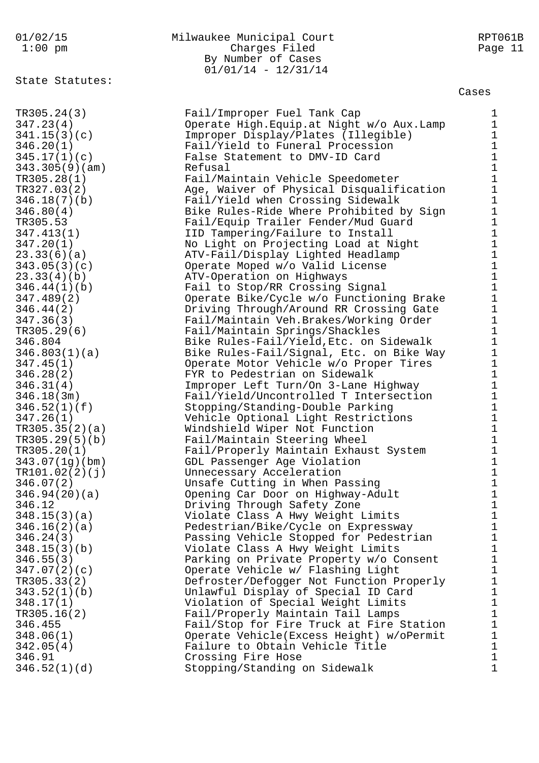State Statutes:

# 01/02/15 Milwaukee Municipal Court RPT061B 1:00 pm Charges Filed Page 11 By Number of Cases 01/01/14 - 12/31/14

#### Cases

TR305.24(3) Fail/Improper Fuel Tank Cap 1 347.23(4) Operate High.Equip.at Night w/o Aux.Lamp 1 341.15(3)(c) Improper Display/Plates (Illegible) 1 346.20(1) Fail/Yield to Funeral Procession 1 345.17(1)(c) False Statement to DMV-ID Card 1 343.305(9)(am) Refusal 1 TR305.28(1) Fail/Maintain Vehicle Speedometer 1 TR327.03(2) Age, Waiver of Physical Disqualification 1 346.18(7)(b) Fail/Yield when Crossing Sidewalk 1 346.80(4) Bike Rules-Ride Where Prohibited by Sign 1 TR305.53 Fail/Equip Trailer Fender/Mud Guard 1 347.413(1) IID Tampering/Failure to Install 1 347.20(1) No Light on Projecting Load at Night 1 23.33(6)(a) ATV-Fail/Display Lighted Headlamp 1 343.05(3)(c) Operate Moped w/o Valid License 1 23.33(4)(b) ATV-Operation on Highways 1 346.44(1)(b) Fail to Stop/RR Crossing Signal 1 347.489(2) Operate Bike/Cycle w/o Functioning Brake 1 346.44(2) Driving Through/Around RR Crossing Gate 1 347.36(3) Fail/Maintain Veh.Brakes/Working Order 1 TR305.29(6) Fail/Maintain Springs/Shackles 1 346.804 Bike Rules-Fail/Yield,Etc. on Sidewalk 1 346.803(1)(a) Bike Rules-Fail/Signal, Etc. on Bike Way 1 347.45(1) Operate Motor Vehicle w/o Proper Tires 1 346.28(2) FYR to Pedestrian on Sidewalk 1 346.31(4) Improper Left Turn/On 3-Lane Highway 1 346.18(3m) Fail/Yield/Uncontrolled T Intersection 1 346.52(1)(f) Stopping/Standing-Double Parking 1 347.26(1) Vehicle Optional Light Restrictions 1 TR305.35(2)(a) Windshield Wiper Not Function 1 TR305.29(5)(b) Fail/Maintain Steering Wheel 1 TR305.20(1) Fail/Properly Maintain Exhaust System 1 343.07(1g)(bm) GDL Passenger Age Violation 1 TR101.02(2)(j) Unnecessary Acceleration 1 346.07(2) Unsafe Cutting in When Passing 1 346.94(20)(a) Opening Car Door on Highway-Adult 1 346.12 Driving Through Safety Zone 1 348.15(3)(a) Violate Class A Hwy Weight Limits 1 346.16(2)(a) Pedestrian/Bike/Cycle on Expressway 1 346.24(3) Passing Vehicle Stopped for Pedestrian 1 348.15(3)(b) Violate Class A Hwy Weight Limits 1 346.55(3) Parking on Private Property w/o Consent 1 347.07(2)(c) Operate Vehicle w/ Flashing Light 1 TR305.33(2) Defroster/Defogger Not Function Properly 1 343.52(1)(b) Unlawful Display of Special ID Card 1 348.17(1) Violation of Special Weight Limits 1 TR305.16(2) Fail/Properly Maintain Tail Lamps 1 346.455 Fail/Stop for Fire Truck at Fire Station 1 348.06(1) Operate Vehicle(Excess Height) w/oPermit 1 342.05(4) Failure to Obtain Vehicle Title 1 346.91 Crossing Fire Hose 1 346.52(1)(d) Stopping/Standing on Sidewalk 1